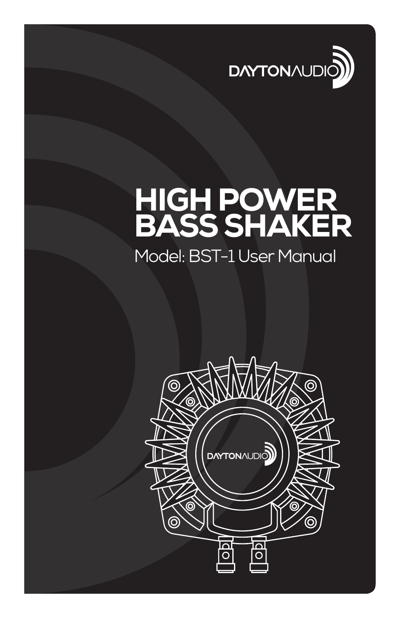

# HIGH POWER BASS SHAKER

# Model: BST-1 User Manual

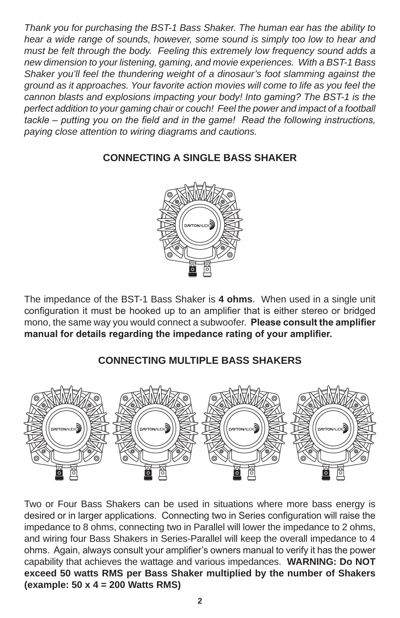*Thank you for purchasing the BST-1 Bass Shaker. The human ear has the ability to hear a wide range of sounds, however, some sound is simply too low to hear and must be felt through the body. Feeling this extremely low frequency sound adds a new dimension to your listening, gaming, and movie experiences. With a BST-1 Bass Shaker you'll feel the thundering weight of a dinosaur's foot slamming against the ground as it approaches. Your favorite action movies will come to life as you feel the cannon blasts and explosions impacting your body! Into gaming? The BST-1 is the perfect addition to your gaming chair or couch! Feel the power and impact of a football tackle – putting you on the field and in the game! Read the following instructions, paying close attention to wiring diagrams and cautions.*

## **CONNECTING A SINGLE BASS SHAKER**



The impedance of the BST-1 Bass Shaker is **4 ohms**. When used in a single unit configuration it must be hooked up to an amplifier that is either stereo or bridged mono, the same way you would connect a subwoofer. **Please consult the amplifier** manual for details regarding the impedance rating of your amplifier.

# **CONNECTING MULTIPLE BASS SHAKERS**



Two or Four Bass Shakers can be used in situations where more bass energy is desired or in larger applications. Connecting two in Series configuration will raise the impedance to 8 ohms, connecting two in Parallel will lower the impedance to 2 ohms, and wiring four Bass Shakers in Series-Parallel will keep the overall impedance to 4 ohms. Again, always consult your amplifier's owners manual to verify it has the power capability that achieves the wattage and various impedances. **WARNING: Do NOT exceed 50 watts RMS per Bass Shaker multiplied by the number of Shakers (example: 50 x 4 = 200 Watts RMS)**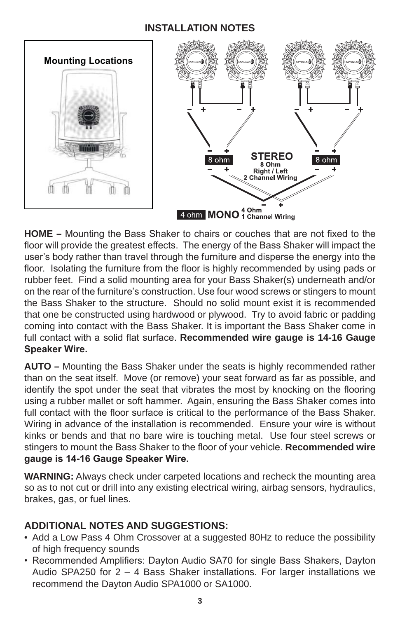#### **INSTALLATION NOTES**



**HOME** – Mounting the Bass Shaker to chairs or couches that are not fixed to the floor will provide the greatest effects. The energy of the Bass Shaker will impact the user's body rather than travel through the furniture and disperse the energy into the floor. Isolating the furniture from the floor is highly recommended by using pads or rubber feet. Find a solid mounting area for your Bass Shaker(s) underneath and/or on the rear of the furniture's construction. Use four wood screws or stingers to mount the Bass Shaker to the structure. Should no solid mount exist it is recommended that one be constructed using hardwood or plywood. Try to avoid fabric or padding coming into contact with the Bass Shaker. It is important the Bass Shaker come in full contact with a solid flat surface. Recommended wire gauge is 14-16 Gauge **Speaker Wire.** 

**AUTO –** Mounting the Bass Shaker under the seats is highly recommended rather than on the seat itself. Move (or remove) your seat forward as far as possible, and identify the spot under the seat that vibrates the most by knocking on the flooring using a rubber mallet or soft hammer. Again, ensuring the Bass Shaker comes into full contact with the floor surface is critical to the performance of the Bass Shaker. Wiring in advance of the installation is recommended. Ensure your wire is without kinks or bends and that no bare wire is touching metal. Use four steel screws or stingers to mount the Bass Shaker to the floor of your vehicle. Recommended wire gauge is 14-16 Gauge Speaker Wire.

**WARNING:** Always check under carpeted locations and recheck the mounting area so as to not cut or drill into any existing electrical wiring, airbag sensors, hydraulics, brakes, gas, or fuel lines.

### **ADDITIONAL NOTES AND SUGGESTIONS:**

- Add a Low Pass 4 Ohm Crossover at a suggested 80Hz to reduce the possibility of high frequency sounds
- Recommended Amplifiers: Dayton Audio SA70 for single Bass Shakers, Dayton Audio SPA250 for 2 – 4 Bass Shaker installations. For larger installations we recommend the Dayton Audio SPA1000 or SA1000.